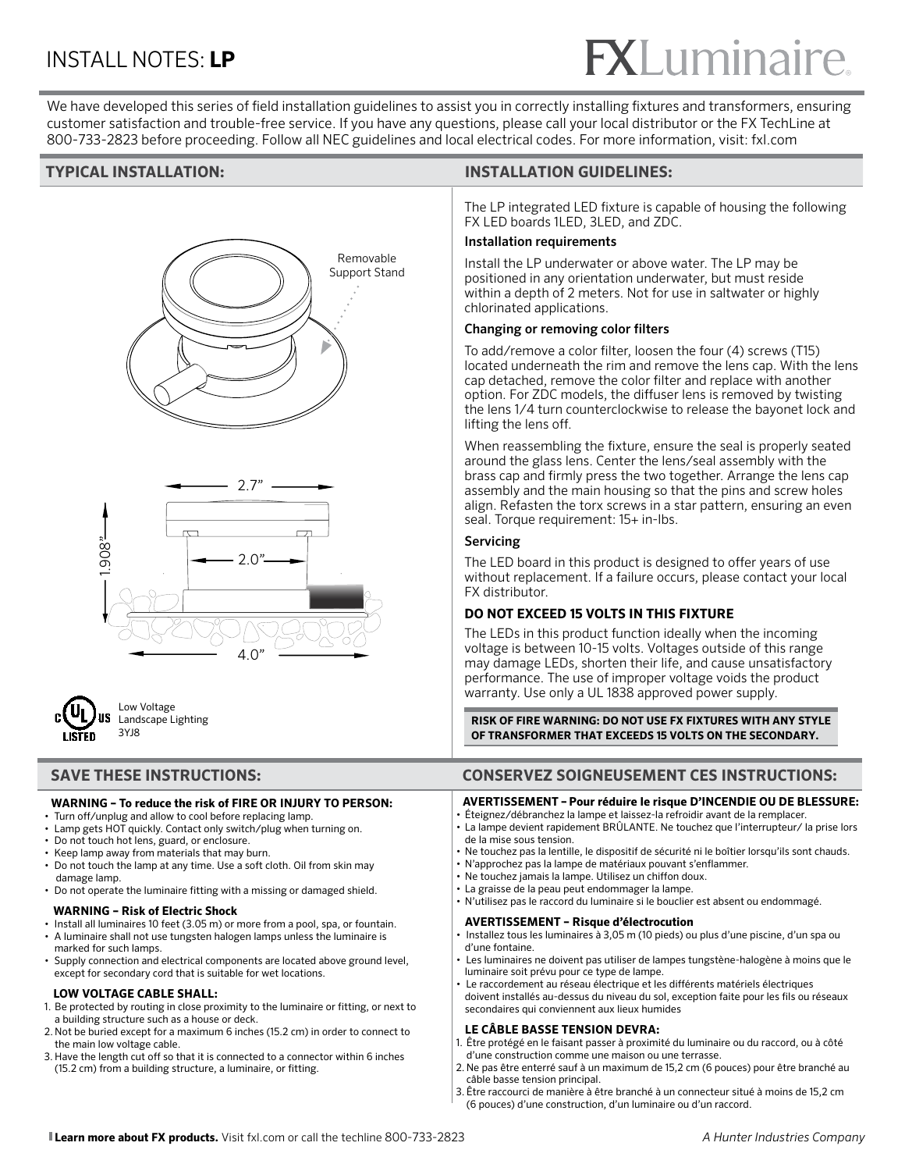# **XLuminai**

We have developed this series of field installation guidelines to assist you in correctly installing fixtures and transformers, ensuring customer satisfaction and trouble-free service. If you have any questions, please call your local distributor or the FX TechLine at 800-733-2823 before proceeding. Follow all NEC guidelines and local electrical codes. For more information, visit: fxl.com







Low Voltage Landscape Lighting 3YJ8

#### **WARNING – To reduce the risk of FIRE OR INJURY TO PERSON:**

- Turn off/unplug and allow to cool before replacing lamp.
- Lamp gets HOT quickly. Contact only switch/plug when turning on.
- Do not touch hot lens, guard, or enclosure.
- Keep lamp away from materials that may burn.
- Do not touch the lamp at any time. Use a soft cloth. Oil from skin may damage lamp.
- Do not operate the luminaire fitting with a missing or damaged shield.

#### **WARNING – Risk of Electric Shock**

- Install all luminaires 10 feet (3.05 m) or more from a pool, spa, or fountain.
- A luminaire shall not use tungsten halogen lamps unless the luminaire is marked for such lamps.
- Supply connection and electrical components are located above ground level, except for secondary cord that is suitable for wet locations.

#### **LOW VOLTAGE CABLE SHALL:**

- 1. Be protected by routing in close proximity to the luminaire or fitting, or next to a building structure such as a house or deck.
- 2. Not be buried except for a maximum 6 inches (15.2 cm) in order to connect to the main low voltage cable.
- 3. Have the length cut off so that it is connected to a connector within 6 inches (15.2 cm) from a building structure, a luminaire, or fitting.

### **TYPICAL INSTALLATION: INSTALLATION GUIDELINES:**

The LP integrated LED fixture is capable of housing the following FX LED boards 1LED, 3LED, and ZDC.

#### Installation requirements

Install the LP underwater or above water. The LP may be positioned in any orientation underwater, but must reside within a depth of 2 meters. Not for use in saltwater or highly chlorinated applications.

#### Changing or removing color filters

To add/remove a color filter, loosen the four (4) screws (T15) located underneath the rim and remove the lens cap. With the lens cap detached, remove the color filter and replace with another option. For ZDC models, the diffuser lens is removed by twisting the lens 1/4 turn counterclockwise to release the bayonet lock and lifting the lens off.

When reassembling the fixture, ensure the seal is properly seated around the glass lens. Center the lens/seal assembly with the brass cap and firmly press the two together. Arrange the lens cap assembly and the main housing so that the pins and screw holes align. Refasten the torx screws in a star pattern, ensuring an even seal. Torque requirement: 15+ in-lbs.

#### Servicing

The LED board in this product is designed to offer years of use without replacement. If a failure occurs, please contact your local FX distributor.

### **DO NOT EXCEED 15 VOLTS IN THIS FIXTURE**

The LEDs in this product function ideally when the incoming voltage is between 10-15 volts. Voltages outside of this range may damage LEDs, shorten their life, and cause unsatisfactory performance. The use of improper voltage voids the product warranty. Use only a UL 1838 approved power supply.

**RISK OF FIRE WARNING: DO NOT USE FX FIXTURES WITH ANY STYLE OF TRANSFORMER THAT EXCEEDS 15 VOLTS ON THE SECONDARY.** 

### **SAVE THESE INSTRUCTIONS: CONSERVEZ SOIGNEUSEMENT CES INSTRUCTIONS:**

#### **AVERTISSEMENT – Pour réduire le risque D'INCENDIE OU DE BLESSURE:**

- Éteignez/débranchez la lampe et laissez-la refroidir avant de la remplacer.
- La lampe devient rapidement BRÛLANTE. Ne touchez que l'interrupteur/ la prise lors
- de la mise sous tension.
- Ne touchez pas la lentille, le dispositif de sécurité ni le boîtier lorsqu'ils sont chauds.
- N'approchez pas la lampe de matériaux pouvant s'enflammer.
- Ne touchez jamais la lampe. Utilisez un chiffon doux. • La graisse de la peau peut endommager la lampe.
- N'utilisez pas le raccord du luminaire si le bouclier est absent ou endommagé.

#### **AVERTISSEMENT – Risque d'électrocution**

- Installez tous les luminaires à 3,05 m (10 pieds) ou plus d'une piscine, d'un spa ou d'une fontaine.
- Les luminaires ne doivent pas utiliser de lampes tungstène-halogène à moins que le luminaire soit prévu pour ce type de lampe.
- Le raccordement au réseau électrique et les différents matériels électriques doivent installés au-dessus du niveau du sol, exception faite pour les fils ou réseaux secondaires qui conviennent aux lieux humides

### **LE CÂBLE BASSE TENSION DEVRA:**

- 1. Être protégé en le faisant passer à proximité du luminaire ou du raccord, ou à côté d'une construction comme une maison ou une terrasse.
- 2. Ne pas être enterré sauf à un maximum de 15,2 cm (6 pouces) pour être branché au câble basse tension principal.
- 3. Être raccourci de manière à être branché à un connecteur situé à moins de 15,2 cm (6 pouces) d'une construction, d'un luminaire ou d'un raccord.